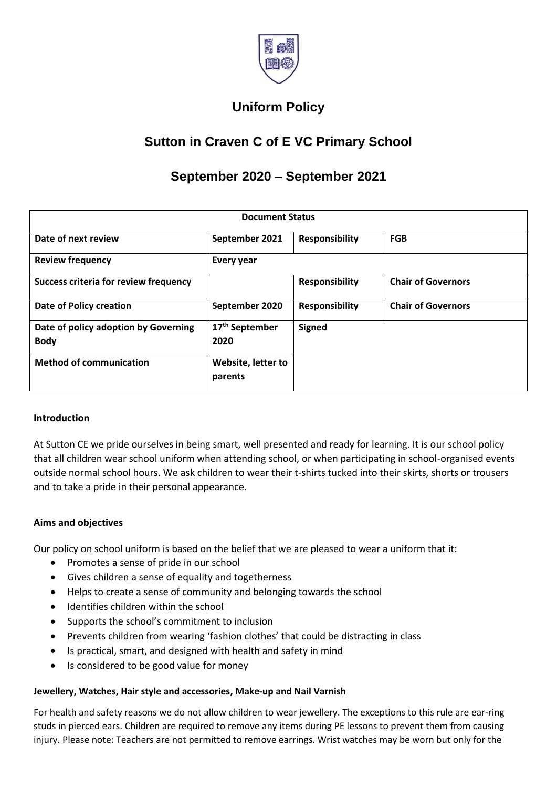

# **Uniform Policy**

## **Sutton in Craven C of E VC Primary School**

## **September 2020 – September 2021**

| <b>Document Status</b>                              |                                    |                       |                           |
|-----------------------------------------------------|------------------------------------|-----------------------|---------------------------|
| Date of next review                                 | September 2021                     | <b>Responsibility</b> | <b>FGB</b>                |
| <b>Review frequency</b>                             | Every year                         |                       |                           |
| <b>Success criteria for review frequency</b>        |                                    | <b>Responsibility</b> | <b>Chair of Governors</b> |
| <b>Date of Policy creation</b>                      | September 2020                     | <b>Responsibility</b> | <b>Chair of Governors</b> |
| Date of policy adoption by Governing<br><b>Body</b> | 17 <sup>th</sup> September<br>2020 | <b>Signed</b>         |                           |
| <b>Method of communication</b>                      | Website, letter to<br>parents      |                       |                           |

#### **Introduction**

At Sutton CE we pride ourselves in being smart, well presented and ready for learning. It is our school policy that all children wear school uniform when attending school, or when participating in school-organised events outside normal school hours. We ask children to wear their t-shirts tucked into their skirts, shorts or trousers and to take a pride in their personal appearance.

#### **Aims and objectives**

Our policy on school uniform is based on the belief that we are pleased to wear a uniform that it:

- Promotes a sense of pride in our school
- Gives children a sense of equality and togetherness
- Helps to create a sense of community and belonging towards the school
- Identifies children within the school
- Supports the school's commitment to inclusion
- Prevents children from wearing 'fashion clothes' that could be distracting in class
- Is practical, smart, and designed with health and safety in mind
- Is considered to be good value for money

#### **Jewellery, Watches, Hair style and accessories, Make-up and Nail Varnish**

For health and safety reasons we do not allow children to wear jewellery. The exceptions to this rule are ear-ring studs in pierced ears. Children are required to remove any items during PE lessons to prevent them from causing injury. Please note: Teachers are not permitted to remove earrings. Wrist watches may be worn but only for the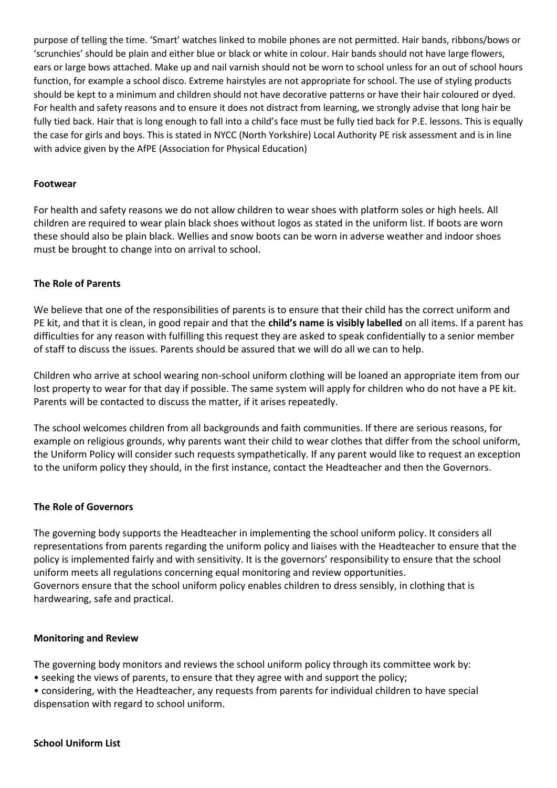purpose of telling the time. 'Smart' watches linked to mobile phones are not permitted. Hair bands, ribbons/bows or 'scrunchies' should be plain and either blue or black or white in colour. Hair bands should not have large flowers, ears or large bows attached. Make up and nail varnish should not be worn to school unless for an out of school hours function, for example a school disco. Extreme hairstyles are not appropriate for school. The use of styling products should be kept to a minimum and children should not have decorative patterns or have their hair coloured or dyed. For health and safety reasons and to ensure it does not distract from learning, we strongly advise that long hair be fully tied back. Hair that is long enough to fall into a child's face must be fully tied back for P.E. lessons. This is equally the case for girls and boys. This is stated in NYCC (North Yorkshire) Local Authority PE risk assessment and is in line with advice given by the AfPE (Association for Physical Education)

#### **Footwear**

For health and safety reasons we do not allow children to wear shoes with platform soles or high heels. All children are required to wear plain black shoes without logos as stated in the uniform list. If boots are worn these should also be plain black. Wellies and snow boots can be worn in adverse weather and indoor shoes must be brought to change into on arrival to school.

#### **The Role of Parents**

We believe that one of the responsibilities of parents is to ensure that their child has the correct uniform and PE kit, and that it is clean, in good repair and that the **child's name is visibly labelled** on all items. If a parent has difficulties for any reason with fulfilling this request they are asked to speak confidentially to a senior member of staff to discuss the issues. Parents should be assured that we will do all we can to help.

Children who arrive at school wearing non-school uniform clothing will be loaned an appropriate item from our lost property to wear for that day if possible. The same system will apply for children who do not have a PE kit. Parents will be contacted to discuss the matter, if it arises repeatedly.

The school welcomes children from all backgrounds and faith communities. If there are serious reasons, for example on religious grounds, why parents want their child to wear clothes that differ from the school uniform, the Uniform Policy will consider such requests sympathetically. If any parent would like to request an exception to the uniform policy they should, in the first instance, contact the Headteacher and then the Governors.

#### **The Role of Governors**

The governing body supports the Headteacher in implementing the school uniform policy. It considers all representations from parents regarding the uniform policy and liaises with the Headteacher to ensure that the policy is implemented fairly and with sensitivity. It is the governors' responsibility to ensure that the school uniform meets all regulations concerning equal monitoring and review opportunities. Governors ensure that the school uniform policy enables children to dress sensibly, in clothing that is hardwearing, safe and practical.

#### **Monitoring and Review**

The governing body monitors and reviews the school uniform policy through its committee work by:

- seeking the views of parents, to ensure that they agree with and support the policy;
- considering, with the Headteacher, any requests from parents for individual children to have special dispensation with regard to school uniform.